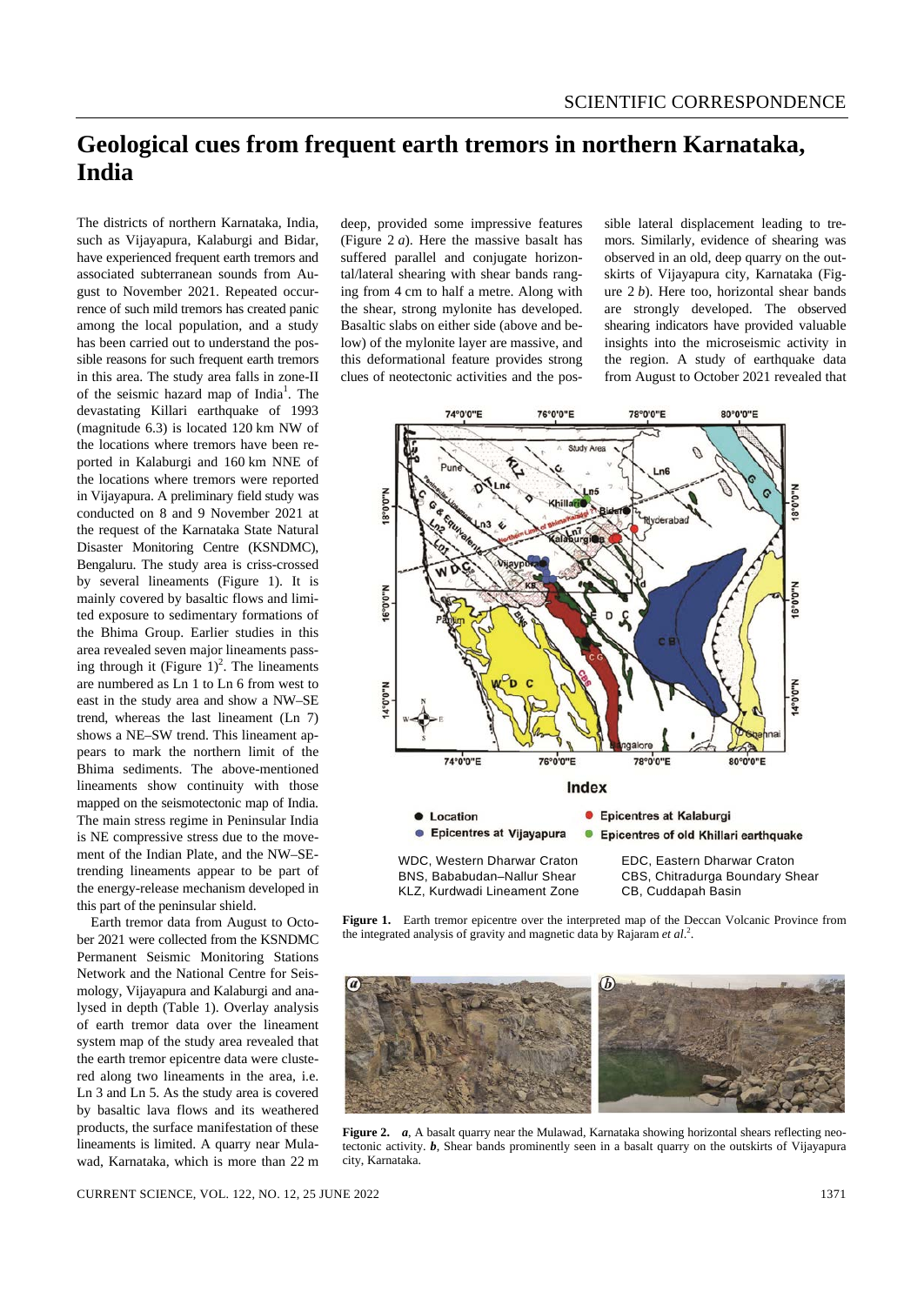## **Geological cues from frequent earth tremors in northern Karnataka, India**

The districts of northern Karnataka, India, such as Vijayapura, Kalaburgi and Bidar, have experienced frequent earth tremors and associated subterranean sounds from August to November 2021. Repeated occurrence of such mild tremors has created panic among the local population, and a study has been carried out to understand the possible reasons for such frequent earth tremors in this area. The study area falls in zone-II of the seismic hazard map of India<sup>1</sup>. The devastating Killari earthquake of 1993 (magnitude 6.3) is located 120 km NW of the locations where tremors have been reported in Kalaburgi and 160 km NNE of the locations where tremors were reported in Vijayapura. A preliminary field study was conducted on 8 and 9 November 2021 at the request of the Karnataka State Natural Disaster Monitoring Centre (KSNDMC), Bengaluru. The study area is criss-crossed by several lineaments (Figure 1). It is mainly covered by basaltic flows and limited exposure to sedimentary formations of the Bhima Group. Earlier studies in this area revealed seven major lineaments passing through it (Figure  $1)^2$ . The lineaments are numbered as Ln 1 to Ln 6 from west to east in the study area and show a NW–SE trend, whereas the last lineament (Ln 7) shows a NE–SW trend. This lineament appears to mark the northern limit of the Bhima sediments. The above-mentioned lineaments show continuity with those mapped on the seismotectonic map of India. The main stress regime in Peninsular India is NE compressive stress due to the movement of the Indian Plate, and the NW–SEtrending lineaments appear to be part of the energy-release mechanism developed in this part of the peninsular shield.

Earth tremor data from August to October 2021 were collected from the KSNDMC Permanent Seismic Monitoring Stations Network and the National Centre for Seismology, Vijayapura and Kalaburgi and analysed in depth (Table 1). Overlay analysis of earth tremor data over the lineament system map of the study area revealed that the earth tremor epicentre data were clustered along two lineaments in the area, i.e. Ln 3 and Ln 5. As the study area is covered by basaltic lava flows and its weathered products, the surface manifestation of these lineaments is limited. A quarry near Mulawad, Karnataka, which is more than 22 m

deep, provided some impressive features (Figure 2 *a*). Here the massive basalt has suffered parallel and conjugate horizontal/lateral shearing with shear bands ranging from 4 cm to half a metre. Along with the shear, strong mylonite has developed. Basaltic slabs on either side (above and below) of the mylonite layer are massive, and this deformational feature provides strong clues of neotectonic activities and the possible lateral displacement leading to tremors. Similarly, evidence of shearing was observed in an old, deep quarry on the outskirts of Vijayapura city, Karnataka (Figure 2 *b*). Here too, horizontal shear bands are strongly developed. The observed shearing indicators have provided valuable insights into the microseismic activity in the region. A study of earthquake data from August to October 2021 revealed that



**Figure 1.** Earth tremor epicentre over the interpreted map of the Deccan Volcanic Province from the integrated analysis of gravity and magnetic data by Rajaram *et al*. 2 .



**Figure 2.** *a*, A basalt quarry near the Mulawad, Karnataka showing horizontal shears reflecting neotectonic activity. *b*, Shear bands prominently seen in a basalt quarry on the outskirts of Vijayapura city, Karnataka.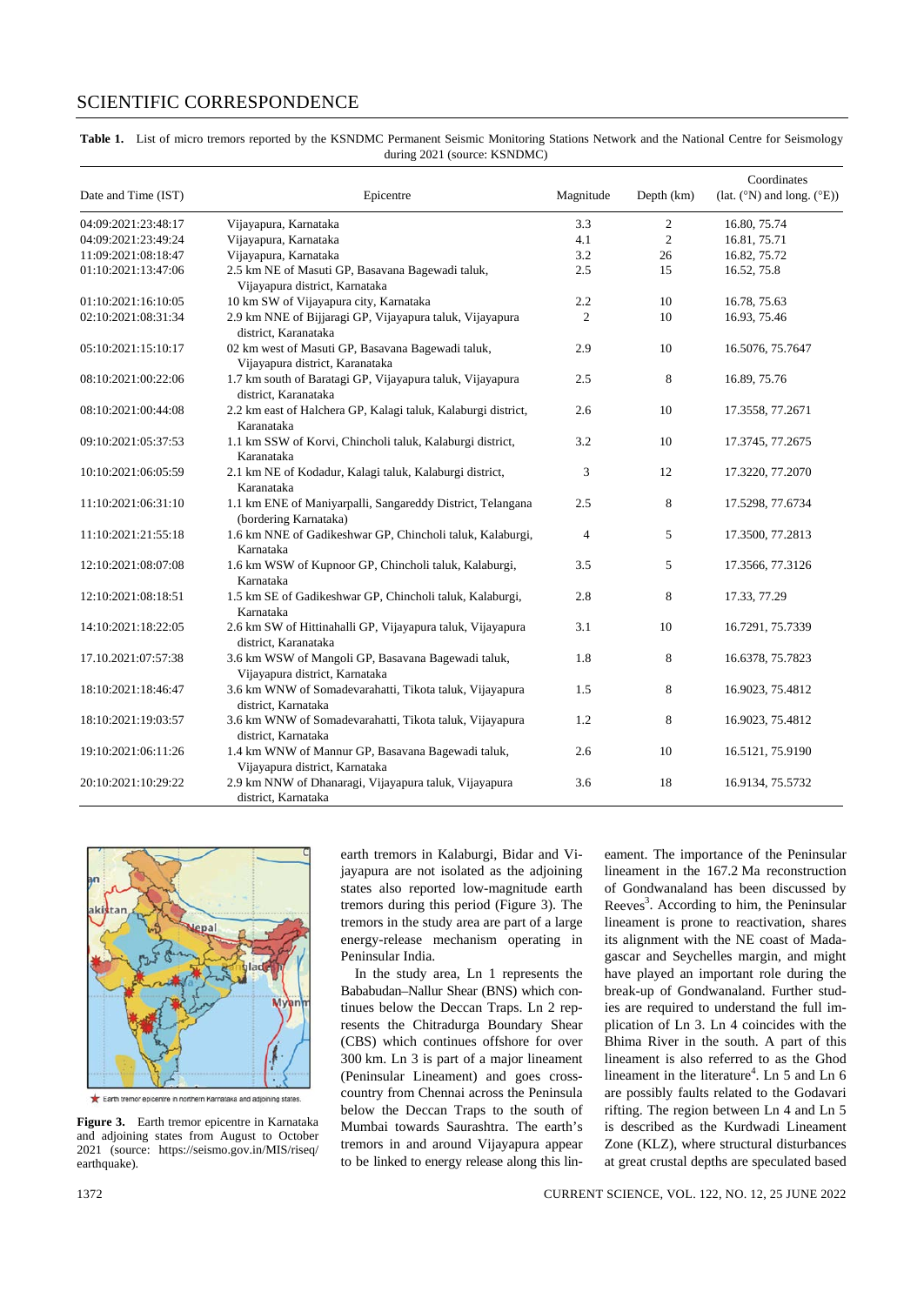## SCIENTIFIC CORRESPONDENCE

| Table 1. List of micro tremors reported by the KSNDMC Permanent Seismic Monitoring Stations Network and the National Centre for Seismology |
|--------------------------------------------------------------------------------------------------------------------------------------------|
| during 2021 (source: KSNDMC)                                                                                                               |

| Date and Time (IST) | Epicentre                                                                            | Magnitude      | Depth (km)     | Coordinates<br>(lat. (°N) and long. (°E)) |
|---------------------|--------------------------------------------------------------------------------------|----------------|----------------|-------------------------------------------|
| 04:09:2021:23:48:17 | Vijayapura, Karnataka                                                                | 3.3            | 2              | 16.80, 75.74                              |
| 04:09:2021:23:49:24 | Vijayapura, Karnataka                                                                | 4.1            | $\overline{2}$ | 16.81, 75.71                              |
| 11:09:2021:08:18:47 | Vijayapura, Karnataka                                                                | 3.2            | 26             | 16.82, 75.72                              |
| 01:10:2021:13:47:06 | 2.5 km NE of Masuti GP, Basavana Bagewadi taluk,<br>Vijayapura district, Karnataka   | 2.5            | 15             | 16.52, 75.8                               |
| 01:10:2021:16:10:05 | 10 km SW of Vijayapura city, Karnataka                                               | 2.2            | 10             | 16.78, 75.63                              |
| 02:10:2021:08:31:34 | 2.9 km NNE of Bijjaragi GP, Vijayapura taluk, Vijayapura<br>district, Karanataka     | $\overline{c}$ | 10             | 16.93, 75.46                              |
| 05:10:2021:15:10:17 | 02 km west of Masuti GP, Basavana Bagewadi taluk,<br>Vijayapura district, Karanataka | 2.9            | 10             | 16.5076, 75.7647                          |
| 08:10:2021:00:22:06 | 1.7 km south of Baratagi GP, Vijayapura taluk, Vijayapura<br>district, Karanataka    | 2.5            | 8              | 16.89, 75.76                              |
| 08:10:2021:00:44:08 | 2.2 km east of Halchera GP, Kalagi taluk, Kalaburgi district,<br>Karanataka          | 2.6            | 10             | 17.3558, 77.2671                          |
| 09:10:2021:05:37:53 | 1.1 km SSW of Korvi, Chincholi taluk, Kalaburgi district,<br>Karanataka              | 3.2            | 10             | 17.3745, 77.2675                          |
| 10:10:2021:06:05:59 | 2.1 km NE of Kodadur, Kalagi taluk, Kalaburgi district,<br>Karanataka                | 3              | 12             | 17.3220, 77.2070                          |
| 11:10:2021:06:31:10 | 1.1 km ENE of Maniyarpalli, Sangareddy District, Telangana<br>(bordering Karnataka)  | 2.5            | 8              | 17.5298, 77.6734                          |
| 11:10:2021:21:55:18 | 1.6 km NNE of Gadikeshwar GP, Chincholi taluk, Kalaburgi,<br>Karnataka               | $\overline{4}$ | 5              | 17.3500, 77.2813                          |
| 12:10:2021:08:07:08 | 1.6 km WSW of Kupnoor GP, Chincholi taluk, Kalaburgi,<br>Karnataka                   | 3.5            | 5              | 17.3566, 77.3126                          |
| 12:10:2021:08:18:51 | 1.5 km SE of Gadikeshwar GP, Chincholi taluk, Kalaburgi,<br>Karnataka                | 2.8            | 8              | 17.33, 77.29                              |
| 14:10:2021:18:22:05 | 2.6 km SW of Hittinahalli GP, Vijayapura taluk, Vijayapura<br>district, Karanataka   | 3.1            | 10             | 16.7291, 75.7339                          |
| 17.10.2021:07:57:38 | 3.6 km WSW of Mangoli GP, Basavana Bagewadi taluk,<br>Vijayapura district, Karnataka | 1.8            | 8              | 16.6378, 75.7823                          |
| 18:10:2021:18:46:47 | 3.6 km WNW of Somadevarahatti, Tikota taluk, Vijayapura<br>district, Karnataka       | 1.5            | 8              | 16.9023, 75.4812                          |
| 18:10:2021:19:03:57 | 3.6 km WNW of Somadevarahatti, Tikota taluk, Vijayapura<br>district, Karnataka       | 1.2            | 8              | 16.9023, 75.4812                          |
| 19:10:2021:06:11:26 | 1.4 km WNW of Mannur GP, Basavana Bagewadi taluk,<br>Vijayapura district, Karnataka  | 2.6            | 10             | 16.5121, 75.9190                          |
| 20:10:2021:10:29:22 | 2.9 km NNW of Dhanaragi, Vijayapura taluk, Vijayapura<br>district. Karnataka         | 3.6            | 18             | 16.9134, 75.5732                          |



Earth tremor epic tre in northern Karnataka and adioining states

**Figure 3.** Earth tremor epicentre in Karnataka and adjoining states from August to October 2021 (source: [https://seismo.gov.in/MIS/riseq/](https://seismo.gov.in/MIS/riseq/earthquake) [earthquake\)](https://seismo.gov.in/MIS/riseq/earthquake).

earth tremors in Kalaburgi, Bidar and Vijayapura are not isolated as the adjoining states also reported low-magnitude earth tremors during this period (Figure 3). The tremors in the study area are part of a large energy-release mechanism operating in Peninsular India.

In the study area, Ln 1 represents the Bababudan–Nallur Shear (BNS) which continues below the Deccan Traps. Ln 2 represents the Chitradurga Boundary Shear (CBS) which continues offshore for over 300 km. Ln 3 is part of a major lineament (Peninsular Lineament) and goes crosscountry from Chennai across the Peninsula below the Deccan Traps to the south of Mumbai towards Saurashtra. The earth's tremors in and around Vijayapura appear to be linked to energy release along this lineament. The importance of the Peninsular lineament in the 167.2 Ma reconstruction of Gondwanaland has been discussed by Reeves<sup>3</sup>. According to him, the Peninsular lineament is prone to reactivation, shares its alignment with the NE coast of Madagascar and Seychelles margin, and might have played an important role during the break-up of Gondwanaland. Further studies are required to understand the full implication of Ln 3. Ln 4 coincides with the Bhima River in the south. A part of this lineament is also referred to as the Ghod lineament in the literature<sup>4</sup>. Ln 5 and Ln  $6$ are possibly faults related to the Godavari rifting. The region between Ln 4 and Ln 5 is described as the Kurdwadi Lineament Zone (KLZ), where structural disturbances at great crustal depths are speculated based